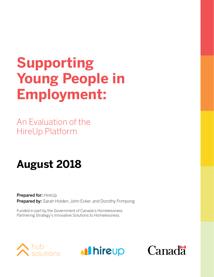## **Supporting Young People in Employment:**

An Evaluation of the HireUp Platform

### **August 2018**

Prepared for: HireUp Prepared by: Sarah Holden, John Ecker, and Dorothy Frimpong

Funded in part by the Government of Canada's Homelessness Partnering Strategy's Innovative Solutions to Homelessness.





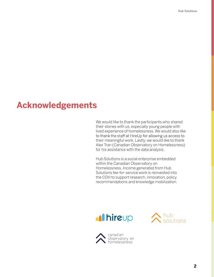### **Acknowledgements**

We would like to thank the participants who shared their stories with us, especially young people with lived experience of homelessness. We would also like to thank the staff at HireUp for allowing us access to their meaningful work. Lastly, we would like to thank Alex Tran (Canadian Observatory on Homelessness) for his assistance with the data analysis.

Hub Solutions is a social enterprise embedded within the Canadian Observatory on Homelessness. Income generated from Hub Solutions fee-for-service work is reinvested into the COH to support research, innovation, policy recommendations and knowledge mobilization.





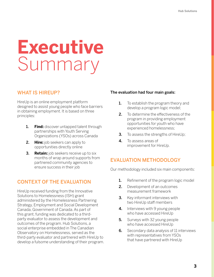# **Executive**  Summary

### WHAT IS HIREUP?

HireUp is an online employment platform designed to assist young people who face barriers in obtaining employment. It is based on three principles:

- 1. **Find:** discover untapped talent through partnerships with Youth Serving Organizations (YSOs) across Canada
- 2. **Hire:** job seekers can apply to opportunities directly online
- 3. **Retain:** job seekers receive up to six months of wrap around supports from partnered community agencies to ensure success in their job

### CONTEXT OF THE EVALUATION

HireUp received funding from the Innovative Solutions to Homelessness (ISH) grant administered by the Homelessness Partnering Strategy, Employment and Social Development Canada, Government of Canada. As part of this grant, funding was dedicated to a thirdparty evaluator to assess the development and outcomes of the program. Hub Solutions, a social enterprise embedded in The Canadian Observatory on Homelessness, served as the third-party evaluator and partnered with HireUp to develop a fulsome understanding of their program.

### The evaluation had four main goals:

- **1.** To establish the program theory and develop a program logic model;
- 2. To determine the effectiveness of the program in providing employment opportunities for youth who have experienced homelessness;
- **3.** To assess the strengths of HireUp;
- 4. To assess areas of improvement for HireUp.

### EVALUATION METHODOLOGY

Our methodology included six main components:

- **1.** Refinement of the program logic model
- 2. Development of an outcomes measurement framework
- **3.** Key informant interviews with two HireUp staff members
- 4. Interviews with 9 young people who have accessed HireUp
- **5.** Surveys with 32 young people who have accessed HireUp
- **6.** Secondary data analysis of 11 interviews with representatives from YSOs that have partnered with HireUp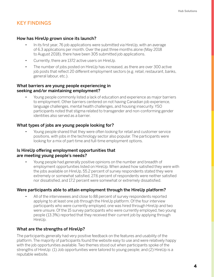### KEY FINDINGS

### How has HireUp grown since its launch?

- In its first year, 76 job applications were submitted via HireUp, with an average of 6.3 applications per month. Over the past three months alone (May 2018 to August 2018), there have been 305 submitted job applications.
- Currently, there are 1372 active users on HireUp.
- The number of jobs posted on HireUp has increased, as there are over 300 active job posts that reflect 20 different employment sectors (e.g. retail, restaurant, banks, general labour, etc.).

### What barriers are young people experiencing in seeking and/or maintaining employment?

• Young people commonly listed a lack of education and experience as major barriers to employment. Other barriers centered on not having Canadian job experience, language challenges, mental health challenges, and housing insecurity. YSO participants noted that stigma related to transgender and non-conforming gender identities also served as a barrier.

### What types of jobs are young people looking for?

• Young people shared that they were often looking for retail and customer service positions, with jobs in the technology sector also popular. The participants were looking for a mix of part-time and full-time employment options.

### Is HireUp offering employment opportunities that are meeting young people's needs?

• Young people had generally positive opinions on the number and breadth of employment opportunities listed on HireUp. When asked how satisfied they were with the jobs available on HireUp, 55.2 percent of survey respondents stated they were extremely or somewhat satisfied, 27.6 percent of respondents were neither satisfied nor dissatisfied, and 17.2 percent were somewhat or extremely dissatisfied.

### Were participants able to attain employment through the HireUp platform?

All of the interviewees and close to 88 percent of survey respondents reported applying to at least one job through the HireUp platform. Of the four interview participants who were currently employed, one was hired through HireUp and two were unsure. Of the 15 survey participants who were currently employed, two young people (13.3%) reported that they received their current job by applying through HireUp.

### What are the strengths of HireUp?

The participants generally had very positive feedback on the features and usability of the platform. The majority of participants found the website easy to use and were relatively happy with the job opportunities available. Two themes stood out when participants spoke of the strengths of HireUp: (1) Job opportunities were tailored to young people; and (2) HireUp is a reputable website.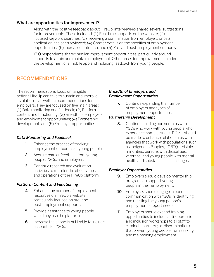### What are opportunities for improvement?

- Along with the positive feedback about HireUp, interviewees shared several suggestions for improvements. These included: (1) Real-time supports on the website; (2) Focused keyword searches; (3) Receiving a confirmation from employers once an application has been reviewed; (4) Greater details on the specifics of employment opportunities; (5) Increased outreach; and (6) Pre- and post-employment supports.
- YSO respondents shared similar improvement opportunities, particularly around supports to attain and maintain employment. Other areas for improvement included the development of a mobile app and including feedback from young people.

### RECOMMENDATIONS

The recommendations focus on tangible actions HireUp can take to sustain and improve its platform, as well as recommendations for employers. They are focused on five main areas: (1) Data monitoring and feedback; (2) Platform content and functioning; (3) Breadth of employers and employment opportunities; (4) Partnership development; and (5) Employer opportunities.

### *Data Monitoring and Feedback*

- **1.** Enhance the process of tracking employment outcomes of young people.
- **2.** Acquire regular feedback from young people, YSOs, and employers.
- **3.** Continue research and evaluation activities to monitor the effectiveness and operations of the HireUp platform.

### *Platform Content and Functioning*

- 4. Enhance the number of employment resources on HireUp's website, particularly focused on pre- and post-employment supports.
- **5.** Provide assistance to young people while they use the platform.
- 6. Increase the capacity of HireUp to include accounts for YSOs.

### *Breadth of Employers and Employment Opportunities*

**7.** Continue expanding the number of employers and types of employment opportunities.

### *Partnership Development*

8. Continue building partnerships with YSOs who work with young people who experience homelessness. Efforts should be made to enhance relationships with agencies that work with populations such as Indigenous Peoples, LGBTQ+, visible minorities, persons with disabilities, veterans, and young people with mental health and substance use challenges.

### *Employer Opportunities*

- **9.** Employers should develop mentorship programs to support young people in their employment.
- **10.** Employers should engage in open communication with YSOs in identifying and meeting the young person's employment support needs.
- **11.** Employers should expand training opportunities to include anti-oppression and inclusion workshops to all staff to eliminate barriers (i.e. discrimination) that prevent young people from seeking and maintaining employment.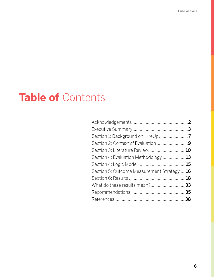### **Table of** Contents

| Section 2: Context of Evaluation9           |  |
|---------------------------------------------|--|
|                                             |  |
| Section 4: Evaluation Methodology 13        |  |
|                                             |  |
| Section 5: Outcome Measurement Strategy  16 |  |
|                                             |  |
|                                             |  |
|                                             |  |
|                                             |  |
|                                             |  |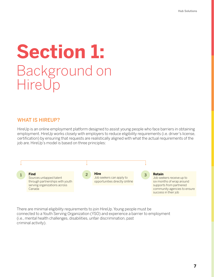## **Section 1:** Background on **HireUp**

### WHAT IS HIREUP?

HireUp is an online employment platform designed to assist young people who face barriers in obtaining employment. HireUp works closely with employers to reduce eligibility requirements (i.e. driver's license, certification) by ensuring that requests are realistically aligned with what the actual requirements of the job are. HireUp's model is based on three principles:



There are minimal eligibility requirements to join HireUp. Young people must be connected to a Youth Serving Organization (YSO) and experience a barrier to employment (i.e., mental health challenges, disabilities, unfair discrimination, past criminal activity).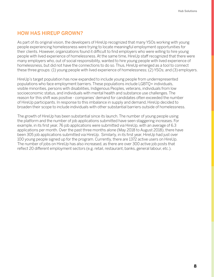### HOW HAS HIREUP GROWN?

As part of its original vision, the developers of HireUp recognized that many YSOs working with young people experiencing homelessness were trying to locate meaningful employment opportunities for their clients. However, organizations found it difficult to find employers who were willing to hire young people with lived experience of homelessness. At the same time, HireUp staff recognized that there were many employers who, out of social responsibility, wanted to hire young people with lived experience of homelessness, but did not have the connections to do so. Thus, HireUp emerged as a tool to connect these three groups: (1) young people with lived experience of homelessness; (2) YSOs; and (3) employers.

HireUp's target population has now expanded to include young people from underrepresented populations who face employment barriers. These populations include LGBTQ+ individuals, visible minorities, persons with disabilities, Indigenous Peoples, veterans, individuals from low socioeconomic status, and individuals with mental health and substance use challenges. The reason for this shift was positive - companies' demand for candidates often exceeded the number of HireUp participants. In response to this imbalance in supply and demand, HireUp decided to broaden their scope to include individuals with other substantial barriers outside of homelessness.

The growth of HireUp has been substantial since its launch. The number of young people using the platform and the number of job applications submitted have seen staggering increases. For example, in its first year, 76 job applications were submitted via HireUp, with an average of 6.3 applications per month. Over the past three months alone (May 2018 to August 2018), there have been 305 job applications submitted via HireUp. Similarly, in its first year, HireUp had just over 100 young people signed up for the program. Currently, there are 1372 active users on HireUp. The number of jobs on HireUp has also increased, as there are over 300 active job posts that reflect 20 different employment sectors (e.g. retail, restaurant, banks, general labour, etc.).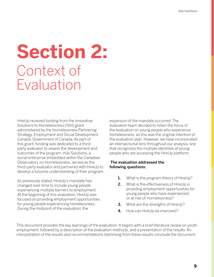## **Section 2:** Context of Evaluation

HireUp received funding from the Innovative Solutions to Homelessness (ISH) grant administered by the Homelessness Partnering Strategy, Employment and Social Development Canada, Government of Canada. As part of this grant, funding was dedicated to a thirdparty evaluator to assess the development and outcomes of the program. Hub Solutions, a social enterprise embedded within the Canadian Observatory on Homelessness, served as the third-party evaluator and partnered with HireUp to develop a fulsome understanding of their program.

As previously stated, HireUp's mandate has changed over time to include young people experiencing multiple barriers to employment. At the beginning of this evaluation, HireUp was focused on providing employment opportunities for young people experiencing homelessness. During the midpoint of the evaluation, the

expansion of the mandate occurred. The evaluation team decided to retain the focus of the evaluation on young people who experience homelessness, as this was the original intention of the evaluation plan. However, we have incorporated an intersectional lens throughout our analysis, one that recognizes the multiple identities of young people who are accessing the HireUp platform.

### The evaluation addressed the following questions:

- **1.** What is the program theory of HireUp?
- 2. What is the effectiveness of HireUp in providing employment opportunities for young people who have experienced, or at risk of, homelessness?
- **3.** What are the strengths of HireUp?
- 4. How can HireUp be improved?

This document provides the key learnings of the evaluation. It begins with a brief literature review on youth employment, followed by a description of the evaluation methods, and a presentation of the results. An interpretation of the results and recommendations stemming from these results conclude the document.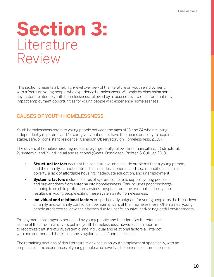## **Section 3:** Literature Review

This section presents a brief, high-level overview of the literature on youth employment, with a focus on young people who experience homelessness. We begin by discussing some key factors related to youth homelessness, followed by a focused review of factors that may impact employment opportunities for young people who experience homelessness.

### CAUSES OF YOUTH HOMELESSNESS

Youth homelessness refers to young people between the ages of 13 and 24 who are living independently of parents and/or caregivers, but do not have the means or ability to acquire a stable, safe, or consistent residence (Canadian Observatory on Homelessness, 2016).

The drivers of homelessness, regardless of age, generally follow three main pillars: 1) structural; 2) systemic; and 3) individual and relational (Gaetz, Donaldson, Richter, & Gulliver, 2013).

- **Structural factors** occur at the societal level and include problems that a young person, and their family, cannot control. This includes economic and social conditions such as poverty, a lack of affordable housing, inadequate education, and unemployment.
- **• Systemic factors** include failures of systems of care to support young people and prevent them from entering into homelessness. This includes poor discharge planning from child protection services, hospitals, and the criminal justice system, resulting in young people exiting these systems into homelessness.
- **Individual and relational factors** are particularly poignant for young people, as the breakdown of family and/or family conflict can be main drivers of their homelessness. Often times, young people are forced to leave their homes due to unsafe, abusive, and/or neglectful environments.

Employment challenges experienced by young people and their families therefore act as one of the structural drivers behind youth homelessness; however, it is important to recognize that structural, systemic, and individual and relational factors all interact with one another and there is no one singular cause of homelessness.

The remaining sections of this literature review focus on youth employment specifically, with an emphasis on the experiences of young people who have lived experience of homelessness.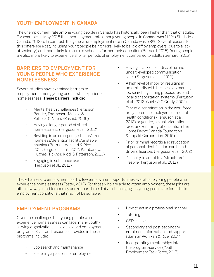### YOUTH EMPLOYMENT IN CANADA

The unemployment rate among young people in Canada has historically been higher than that of adults. For example, in May 2018 the unemployment rate among young people in Canada was 11.1% (Statistics Canada, 2018a). In contrast, the general unemployment rate in Canada was 5.8%. Several reasons for this difference exist, including young people being more likely to be laid off by employers (due to a lack of seniority) and more likely to return to school to further their education (Bernard, 2015). Young people are also more likely to experience shorter periods of employment compared to adults (Bernard, 2015).

### BARRIERS TO EMPLOYMENT FOR YOUNG PEOPLE WHO EXPERIENCE **HOMELESSNESS**

Several studies have examined barriers to employment among young people who experience homelessness. These barriers include:

- Mental health challenges (Ferguson, Bender, Thompson, Maccio & Pollio, 2012; Lenz-Rashid, 2006)
- Having a longer period of street homelessness (Ferguson et al., 2012)
- Residing in an emergency shelter/street homeless/detention facility/unstable housing (Barman-Adhikari & Rice, 2014; Ferguson et al., 2012; Karabanow, Hughes, Ticknor, Kidd, & Patterson, 2010)
- Engaging in substance use (Ferguson et al., 2012)
- Having a lack of self-discipline and underdeveloped communication skills (Ferguson et al., 2012)
- A high level of mobility, resulting in unfamiliarity with the local job market, job searching, hiring procedures, and local transportation systems (Ferguson et al., 2012; Gaetz & O'Grady, 2002)
- Fear of discrimination in the workforce or by potential employers for mental health conditions (Ferguson et al., 2012) or gender, sexual orientation, race, and/or immigration status (The Home Depot Canada Foundation & Impakt Corporation, 2015)
- Prior criminal records and revocation of personal identification cards and drivers' licenses (Ferguson et al., 2012)
- Difficulty to adopt to a 'structured' lifestyle (Ferguson et al., 2012)

These barriers to employment lead to few employment opportunities available to young people who experience homelessness (Foster, 2012). For those who are able to attain employment, these jobs are often low-wage and temporary and/or part-time. This is challenging, as young people are forced into employment conditions that may not be suitable.

### EMPLOYMENT PROGRAMS

Given the challenges that young people who experience homelessness can face, many youthserving organizations have developed employment programs. Skills and resources provided in these programs include:

- Job search and maintenance
- Fostering a passion for employment
- How to act in a professional manner
- **Tutoring**
- GED classes
- Secondary and post-secondary enrolment information and support (Barman-Adhikari & Rice, 2014)
- Incorporating mentorships into the program/service (Youth Employment Task Force, 2017)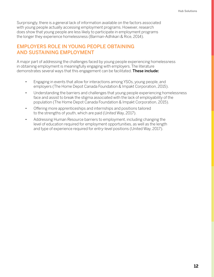Surprisingly, there is a general lack of information available on the factors associated with young people actually accessing employment programs. However, research does show that young people are less likely to participate in employment programs the longer they experience homelessness (Barman-Adhikari & Rice, 2014).

### EMPLOYERS ROLE IN YOUNG PEOPLE OBTAINING AND SUSTAINING EMPLOYMENT

A major part of addressing the challenges faced by young people experiencing homelessness in obtaining employment is meaningfully engaging with employers. The literature demonstrates several ways that this engagement can be facilitated. These include:

- Engaging in events that allow for interactions among YSOs, young people, and employers (The Home Depot Canada Foundation & Impakt Corporation, 2015).
- Understanding the barriers and challenges that young people experiencing homelessness face and assist to break the stigma associated with the lack of employability of the population (The Home Depot Canada Foundation & Impakt Corporation, 2015).
- Offering more apprenticeships and internships and positions tailored to the strengths of youth, which are paid (United Way, 2017).
- Addressing Human Resource barriers to employment, including changing the level of education required for employment opportunities, as well as the length and type of experience required for entry-level positions (United Way, 2017).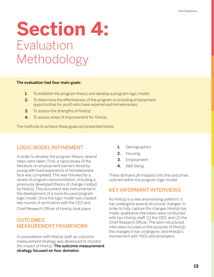## **Section 4:** Evaluation Methodology

### The evaluation had four main goals:

- **1.** To establish the program theory and develop a program logic model;
- 2. To determine the effectiveness of the program in providing employment opportunities for youth who have experienced homelessness;
- **3.** To assess the strengths of HireUp;
- 4. To assess areas of improvement for HireUp.

The methods to achieve these goals are presented below.

### LOGIC MODEL REFINEMENT

In order to develop the program theory, several steps were taken. First, a rapid review of the literature on employment barriers faced by young with lived experience of homelessness face was completed. This was followed by a review of program documentation, including a previously developed theory of change created by HireUp. This document was instrumental in the development of a more focused program logic model. Once the logic model was created, two rounds of verification with the CEO and

Chief Research Officer of HireUp took place.

### **OUTCOMES** MEASUREMENT FRAMEWORK

In consultation with HireUp staff, an outcome measurement strategy was developed to monitor the impact of HireUp. The outcome measurement strategy focused on four domains:

- 1. Demographics
- 2. Housing
- 3. Employment
- 4. Well-being

These domains all mapped onto the outcomes outlined within the program logic model.

### KEY INFORMANT INTERVIEWS

As HireUp is a new and evolving platform, it has undergone several structural changes. In order to fully capture the changes HireUp has made, qualitative interviews were conducted with two HireUp staff: (1) the CEO; and (2) the Chief Research Officer. The semi-structured interviews focused on the purpose of HireUp, the changes it has undergone, and HireUp's involvement with YSOs and employers.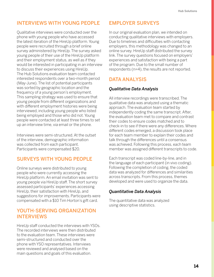### INTERVIEWS WITH YOUNG PEOPLE

Qualitative interviews were conducted over the phone with young people who have accessed the latest iteration of the HireUp platform. Young people were recruited through a brief online survey administered by HireUp. The survey asked young people of their use of the HireUp platform and their employment status, as well as if they would be interested in participating in an interview to discuss their experiences using HireUp. The Hub Solutions evaluation team contacted interested respondents over a two-month period (May-June). The list of potential participants was sorted by geographic location and the frequency of a young person's employment. This sampling strategy was used to ensure that young people from different organizations and with different employment histories were being interviewed, including young people who listed being employed and those who did not. Young people were contacted at least three times to set up an interview time, via email or the phone.

Interviews were semi-structured. At the outset of the interview, demographic information was collected from each participant. Participants were compensated \$20.

### SURVEYS WITH YOUNG PEOPLE

Online surveys were distributed to young people who were currently accessing the HireUp platform. An email invitation was sent to young people via HireUp staff. The short survey assessed participants' experiences accessing HireUp, their satisfaction with HireUp, and suggestions for improvements. Participants were compensated with a \$10 Tim Horton's gift card.

### YOUTH-SERVING ORGANIZATION INTERVIEWS

HireUp staff conducted the interviews with YSOs. The recorded interviews were then distributed to the evaluation team. These interviews were semi-structured and conducted over the phone with YSO representatives. Interviews were reviewed and analysed based on the main questions and goals of this evaluation.

### EMPLOYER SURVEYS

In our original evaluation plan, we intended on conducting qualitative interviews with employers. Due to timelines and difficulties with contacting employers, this methodology was changed to an online survey. HireUp staff distributed the survey link. The survey questions focused on employers' experiences and satisfaction with being a part of the program. Due to the small number of respondents (n=4), the results are not reported.

### DATA ANALYSIS

### *Qualitative Data Analysis*

All interview recordings were transcribed. The qualitative data was analyzed using a thematic approach. The evaluation team started by independently coding the same transcript. After, the evaluation team met to compare and contrast their codes to ensure codes matched and to check-in to see if there were any differences. Where different codes emerged, a discussion took place for each team member to explain their codes and talk through the differences until a consensus was achieved. Following this process, each team member was assigned different transcripts to code.

Each transcript was coded line-by-line, and in the language of each participant (in vivo coding). Following the completion of coding, the coded data was analyzed for differences and similarities across transcripts. From this process, themes developed and were used to organize the data.

### *Quantitative Data Analysis*

The quantitative data was analyzed using descriptive statistics.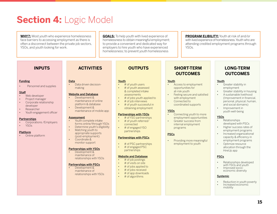### **Section 4: Logic Model**

**WHY?:** Most youth who experience homelessness face barriers to accessing employment as there is often a disconnect between the private job sectors, YSOs, and youth looking for work.

**GOALS:** To help youth with lived experience of homelessness to obtain meaningful employment; to provide a convenient and dedicated way for employers to hire youth who have experienced homelessness; to prevent youth homelessness

**PROGRAM ELIBILITY:** Youth at risk of and/or with lived experience of homelessness. Youth who are attending credited employment programs through YSOs.

#### **Funding**

• Personnel and supplies

#### **Staff**

- Web developer
- Project manager
- Corporate relationship developer
- Researcher
- Youth engagement officer

#### **Partnerships**

• Corporations /Employers • YSOs

### Platform

• Online platform

**Data** • Data driven decisionmaking

#### Website and Database

- Development & maintenance of online platform & database
- Development & maintenance of mobile app

### Assessment

- Youth complete intake forms online/through YSOs
- Determine youth's eligibility • Matching youth to
- appropriate supports (post-employment)
- Coordinate & monitor support

### Partnerships with YSOs

• Development & maintenance of relationships with YSOs

### Partnerships with PSCs

• Development & maintenance of relationships with YSOs

### **INPUTS ACTIVITIES OUTPUTS SHORT-TERM**

### **Youth**

- # of youth users
- # of youth assessed & completed intake assessments
- # of jobs youth applied to
- # of job interviews
- # of youth successful in
- obtaining employment

### Partnerships with YSOs

- # of YSO partnerships
- # of youth referred/ connected
- # of engaged YSO partnerships

### Partnerships with PSCs

- # of PSC partnerships • # of engaged PSC
- partnerships

### Website and Database

- # of job postings
- # of visits on site
- # of jobs applied to
- # of jobs received
- # of app downloads
	- # of algorithms

### **OUTCOMES**

#### **Youth**

- Access to employment opportunities for at-risk youth
- Feeling secure and satisfied with employment
- Connected to coordinated supports

### YSOs

- Connecting youth to more employment opportunities
- Greater success from internal employment programs

### **PSCs**

• Providing more meaningful employment to youth

### **LONG-TERM OUTCOMES**

### **Youth**

- Greater stability in employment
- Greater stability in housing
- A sustainable livelihood (Improvement in financial, personal, physical, human, and social domains)
- Improvement in youth well-being

### YSOs

- Relationships developed with PSCs
- Higher success rates of employment programs
- Increased organizational capacity & efficiency in employment programs
- Optimize resource allocation through the HireUp app

### **PSCs**

- Relationships developed with YSOs and youth
- Improved socioeconomic diversity

### Systemic

- Reduction in youth poverty
- Increased economic mobility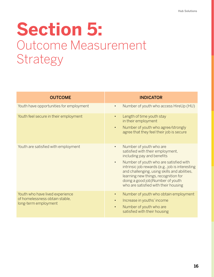## **Section 5:** Outcome Measurement Strategy

| <b>OUTCOME</b>                                                                            | <b>INDICATOR</b>                                                                                                                                                                                                                                                                                                                                                                     |
|-------------------------------------------------------------------------------------------|--------------------------------------------------------------------------------------------------------------------------------------------------------------------------------------------------------------------------------------------------------------------------------------------------------------------------------------------------------------------------------------|
| Youth have opportunities for employment                                                   | Number of youth who access HireUp (HU)<br>$\bullet$                                                                                                                                                                                                                                                                                                                                  |
| Youth feel secure in their employment                                                     | Length of time youth stay<br>in their employment<br>Number of youth who agree/strongly<br>$\bullet$<br>agree that they feel their job is secure                                                                                                                                                                                                                                      |
| Youth are satisfied with employment                                                       | Number of youth who are<br>$\bullet$<br>satisfied with their employment,<br>including pay and benefits<br>Number of youth who are satisfied with<br>$\bullet$<br>intrinsic job rewards (e.g., job is interesting<br>and challenging, using skills and abilities,<br>learning new things, recognition for<br>doing a good job)Number of youth<br>who are satisfied with their housing |
| Youth who have lived experience<br>of homelessness obtain stable,<br>long-term employment | Number of youth who obtain employment<br>Increase in youths' income<br>$\bullet$<br>Number of youth who are<br>$\bullet$<br>satisfied with their housing                                                                                                                                                                                                                             |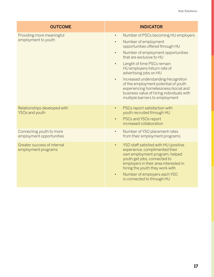| <b>OUTCOME</b>                                        | <b>INDICATOR</b>                                                                                                                                                                                                                                                                                                                                                                                                                                                                                                                  |
|-------------------------------------------------------|-----------------------------------------------------------------------------------------------------------------------------------------------------------------------------------------------------------------------------------------------------------------------------------------------------------------------------------------------------------------------------------------------------------------------------------------------------------------------------------------------------------------------------------|
| Providing more meaningful<br>employment to youth      | Number of PSCs becoming HU employers<br>$\bullet$<br>Number of employment<br>$\bullet$<br>opportunities offered through HU<br>Number of employment opportunities<br>$\bullet$<br>that are exclusive to HU<br>Length of time PSCs remain<br>$\bullet$<br>HU employers/return rate of<br>advertising jobs on HU<br>Increased understanding/recognition<br>$\bullet$<br>of the employment potential of youth<br>experiencing homelessness/social and<br>business value of hiring individuals with<br>multiple barriers to employment |
| Relationships developed with<br><b>YSOs and youth</b> | PSCs report satisfaction with<br>$\bullet$<br>youth recruited through HU<br>PSCs and YSOs report<br>$\bullet$<br>increased collaboration                                                                                                                                                                                                                                                                                                                                                                                          |
| Connecting youth to more<br>employment opportunities  | Number of YSO placement rates<br>$\bullet$<br>from their employment programs                                                                                                                                                                                                                                                                                                                                                                                                                                                      |
| Greater success of internal<br>employment programs    | YSO staff satisfied with HU (positive<br>$\bullet$<br>experience, complimented their<br>own employment program, helped<br>youth get jobs, connected to<br>employers in their area interested in<br>hiring the youth they work with<br>Number of employers each YSO<br>$\bullet$<br>is connected to through HU                                                                                                                                                                                                                     |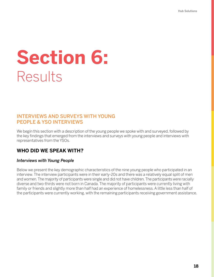# **Section 6:** Results

### INTERVIEWS AND SURVEYS WITH YOUNG PEOPLE & YSO INTERVIEWS

We begin this section with a description of the young people we spoke with and surveyed, followed by the key findings that emerged from the interviews and surveys with young people and interviews with representatives from the YSOs.

### **WHO DID WE SPEAK WITH?**

### *Interviews with Young People*

Below we present the key demographic characteristics of the nine young people who participated in an interview. The interview participants were in their early-20s and there was a relatively equal split of men and women. The majority of participants were single and did not have children. The participants were racially diverse and two-thirds were not born in Canada. The majority of participants were currently living with family or friends and slightly more than half had an experience of homelessness. A little less than half of the participants were currently working, with the remaining participants receiving government assistance.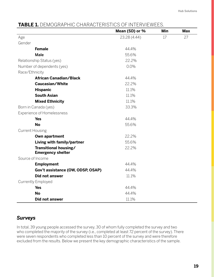### **TABLE 1.** DEMOGRAPHIC CHARACTERISTICS OF INTERVIEWEES.

|                                                   | Mean (SD) or % | Min | <b>Max</b> |
|---------------------------------------------------|----------------|-----|------------|
| Age                                               | 23.28 (4.44)   | 17  | 27         |
| Gender                                            |                |     |            |
| <b>Female</b>                                     | 44.4%          |     |            |
| <b>Male</b>                                       | 55.6%          |     |            |
| Relationship Status (yes)                         | 22.2%          |     |            |
| Number of dependents (yes)                        | 0.0%           |     |            |
| Race/Ethnicity                                    |                |     |            |
| <b>African Canadian/Black</b>                     | 44.4%          |     |            |
| Caucasian/White                                   | 22.2%          |     |            |
| <b>Hispanic</b>                                   | 11.1%          |     |            |
| <b>South Asian</b>                                | 11.1%          |     |            |
| <b>Mixed Ethnicity</b>                            | 11.1%          |     |            |
| Born in Canada (yes)                              | 33.3%          |     |            |
| <b>Experience of Homelessness</b>                 |                |     |            |
| <b>Yes</b>                                        | 44.4%          |     |            |
| <b>No</b>                                         | 55.6%          |     |            |
| <b>Current Housing</b>                            |                |     |            |
| Own apartment                                     | 22.2%          |     |            |
| Living with family/partner                        | 55.6%          |     |            |
| Transitional housing/<br><b>Emergency shelter</b> | 22.2%          |     |            |
| Source of Income                                  |                |     |            |
| <b>Employment</b>                                 | 44.4%          |     |            |
| Gov't assistance (OW, ODSP, OSAP)                 | 44.4%          |     |            |
| <b>Did not answer</b>                             | 11.1%          |     |            |
| <b>Currently Employed</b>                         |                |     |            |
| <b>Yes</b>                                        | 44.4%          |     |            |
| <b>No</b>                                         | 44.4%          |     |            |
| Did not answer                                    | 11.1%          |     |            |

### *Surveys*

In total, 39 young people accessed the survey, 30 of whom fully completed the survey and two who completed the majority of the survey (i.e., completed at least 72 percent of the survey). There were seven respondents who completed less than 10 percent of the survey and were therefore excluded from the results. Below we present the key demographic characteristics of the sample.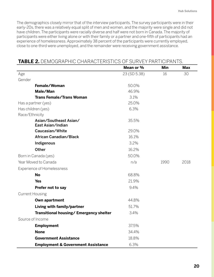The demographics closely mirror that of the interview participants. The survey participants were in their early-20s, there was a relatively equal split of men and women, and the majority were single and did not have children. The participants were racially diverse and half were not born in Canada. The majority of participants were either living alone or with their family or a partner and one-fifth of participants had an experience of homelessness. Approximately 38 percent of the participants were currently employed, close to one-third were unemployed, and the remainder were receiving government assistance.

### **TABLE 2.** DEMOGRAPHIC CHARACTERISTICS OF SURVEY PARTICIPANTS.

|                                               | Mean or %    | <b>Min</b> | <b>Max</b> |
|-----------------------------------------------|--------------|------------|------------|
| Age                                           | 23 (SD 5.38) | 16         | 30         |
| Gender                                        |              |            |            |
| Female/Woman                                  | 50.0%        |            |            |
| Male/Man                                      | 46.9%        |            |            |
| <b>Trans Female/Trans Woman</b>               | 3.1%         |            |            |
| Has a partner (yes)                           | 25.0%        |            |            |
| Has children (yes)                            | 6.3%         |            |            |
| Race/Ethnicity                                |              |            |            |
| Asian/Southeast Asian/<br>East Asian/Indian   | 35.5%        |            |            |
| Caucasian/White                               | 29.0%        |            |            |
| African Canadian/Black                        | 16.1%        |            |            |
| Indigenous                                    | 3.2%         |            |            |
| Other                                         | 16.2%        |            |            |
| Born in Canada (yes)                          | 50.0%        |            |            |
| Year Moved to Canada                          | n/a          | 1990       | 2018       |
| Experience of Homelessness                    |              |            |            |
| <b>No</b>                                     | 68.8%        |            |            |
| <b>Yes</b>                                    | 21.9%        |            |            |
| Prefer not to say                             | 9.4%         |            |            |
| <b>Current Housing</b>                        |              |            |            |
| Own apartment                                 | 44.8%        |            |            |
| Living with family/partner                    | 51.7%        |            |            |
| Transitional housing/ Emergency shelter       | 3.4%         |            |            |
| Source of Income                              |              |            |            |
| <b>Employment</b>                             | 37.5%        |            |            |
| <b>None</b>                                   | 34.4%        |            |            |
| <b>Government Assistance</b>                  | 18.8%        |            |            |
| <b>Employment &amp; Government Assistance</b> | 6.3%         |            |            |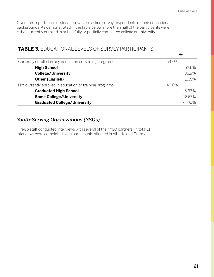Given the importance of education, we also asked survey respondents of their educational backgrounds. As demonstrated in the table below, more than half of the participants were either currently enrolled in or had fully or partially completed college or university.

### **TABLE 3.** EDUCATIONAL LEVELS OF SURVEY PARTICIPANTS.

|                                                          | $\frac{0}{0}$ |
|----------------------------------------------------------|---------------|
| Currently enrolled in any education or training programs | 59.4%         |
| <b>High School</b>                                       | 52.6%         |
| <b>College/University</b>                                | 36.9%         |
| <b>Other (English)</b>                                   | 10.5%         |
| Not currently enrolled in education or training programs | 40.6%         |
| <b>Graduated High School</b>                             | 8.33%         |
| <b>Some College/University</b>                           | 16.67%        |
| <b>Graduated College/University</b>                      | 75.00%        |

### *Youth-Serving Organizations (YSOs)*

HireUp staff conducted interviews with several of their YSO partners. In total 11 interviews were completed, with participants situated in Alberta and Ontario.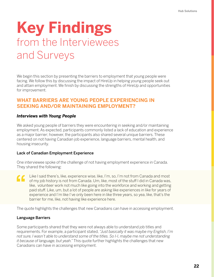### **Key Findings**  from the Interviewees and Surveys

We begin this section by presenting the barriers to employment that young people were facing. We follow this by discussing the impact of HireUp in helping young people seek out and attain employment. We finish by discussing the strengths of HireUp and opportunities for improvement.

### **WHAT BARRIERS ARE YOUNG PEOPLE EXPERIENCING IN SEEKING AND/OR MAINTAINING EMPLOYMENT?**

### *Interviews with Young People*

We asked young people of barriers they were encountering in seeking and/or maintaining employment. As expected, participants commonly listed a lack of education and experience as a major barrier; however, the participants also shared several unique barriers. These centered on not having Canadian job experience, language barriers, mental health, and housing insecurity.

### Lack of Canadian Employment Experience

One interviewee spoke of the challenge of not having employment experience in Canada. They shared the following:

Like I said there's, like, experience wise, like, I'm, so, I'm not from Canada and most " of my job history is not from Canada. Um, like, most of the stuff I did in Canada was, like, volunteer work not much like going into the workforce and working and getting paid stuff. Like, um, but a lot of people are asking like experiences in like for years of experience and I'm like I've only been here in like three years, so yea, like, that's the barrier for me, like, not having like experience here.

The quote highlights the challenges that new Canadians can have in accessing employment.

### Language Barriers

Some participants shared that they were not always able to understand job titles and requirements. For example, a participant stated, *"Just basically it was maybe my English, I'm not sure, I wasn't able to understand some of the titles. So I-I, maybe me not understanding it because of language, but yeah."* This quote further highlights the challenges that new Canadians can have in accessing employment.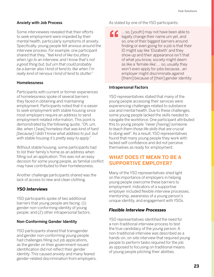### Anxiety with Job Process

Some interviewees revealed that their efforts to seek employment were impeded by their mental health, particularly symptoms of anxiety. Specifically, young people felt anxious around the interview process. For example, one participant shared that they, *"feel kind of like too jittery when I go to an interview, and I know that's not a good thing but, but um that could probably be a barrier also I kind of tend to, like when I'm really kind of nervous I kind of tend to stutter."* 

### **Homelessness**

Participants with current or former experiences of homelessness spoke of several barriers they faced in obtaining and maintaining employment. Participants noted that it is easier to seek employment with stable housing since most employers require an address to send employment-related information. This point is demonstrated by the following quote, *"Oh, um, like, when I [was] homeless that was kind of hard [because] I didn't know what address to put, but with stable housing it's pretty easy to apply."*

Without stable housing, some participants had to list their family's home as an address when filling out an application. This was not an easy decision for some young people, as familial conflict may have contributed to their homelessness.

Another challenge participants shared was the lack of access to new and clean clothing.

### *YSO Interviews*

YSO participants spoke of two additional barriers that young people are facing: (1) gender non-conforming identity of young people; and (2) other intrapersonal factors.

### Non-Conforming Gender Identity

YSO participants shared that transgender and gender non-conforming young people had challenges filling out job applications, as the gender on their government-issued identification did not reflect their gender identity. This caused anxiety and many feared gender-related discrimination from employers. As stated by one of the YSO participants:

1. So, [youth] may not have been able to legally change their name um yet, and so, one of their biggest barriers around finding or even going for a job is that their ID might say like 'Elizabeth' and they show up and their appearance isn't that of what you know, society might deem as like a 'female-like', … so, usually they won't even apply for jobs because...an employer might discriminate against [them] because of [their] gender identity.

### Intrapersonal Factors

YSO representatives stated that many of the young people accessing their services were experiencing challenges related to substance use and mental health. Due to these challenges, some young people lacked the skills needed to navigate the workforce. One participant attributed this to young people *"never [having] someone to teach them those life skills that are crucial to doing well".* As a result, YSO representatives found that many young people they work with lacked self-confidence and did not perceive themselves as ready for employment.

### **WHAT DOES IT MEAN TO BE A SUPPORTIVE EMPLOYER?**

Many of the YSO representatives shed light on the importance of employers in helping young people overcome these barriers to employment. Indicators of a supportive employer included flexible interview processes, mentorship, awareness of a young person's unique identity, and engagement with YSOs.

### *Flexible Interview Processes*

YSO representatives identified the need for a non-traditional interview process to test the true candidacy of the young person. A non-traditional interview was described as a hands-on, on-site interview that required young people to perform tasks required for the job as opposed to focusing on traditional means of young people pitching their abilities.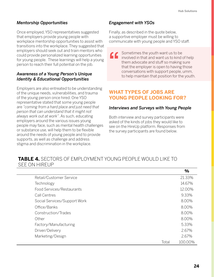### *Mentorship Opportunities*

Once employed, YSO representatives suggested that employers provide young people with workplace mentorship opportunities to assist with transitions into the workplace. They suggested that employers should seek out and train mentors who could provide personalized learning opportunities for young people. These learnings will help a young person to reach their full potential on the job.

### *Awareness of a Young Person's Unique Identity & Educational Opportunities*

Employers are also entreated to be understanding of the unique needs, vulnerabilities, and trauma of the young person once hired. One YSO representative stated that some young people are *"coming from a hard place and just need that person that can understand that it might not always work out at work"*. As such, educating employers around the various issues young people may face, such as mental health challenges or substance use, will help them to be flexible around the needs of young people and to provide supports, as well as challenge and address stigma and discrimination in the workplace.

### *Engagement with YSOs*

Finally, as described in the quote below, a supportive employer must be willing to communicate with young people and YSO staff.

Sometimes the youth want us to be  $\epsilon$ involved in that and want us to kind of help them advocate and stuff so making sure that the employer is open to having those conversations with support people, umm, to help maintain that position for the youth.

### **WHAT TYPES OF JOBS ARE YOUNG PEOPLE LOOKING FOR?**

### *Interviews and Surveys with Young People*

Both interview and survey participants were asked of the kinds of jobs they would like to see on the HireUp platform. Responses from the survey participants are found below.

### **TABLE 4.** SECTORS OF EMPLOYMENT YOUNG PEOPLE WOULD LIKE TO SEE ON HIREUP

|                              |       | 7V      |
|------------------------------|-------|---------|
| Retail/Customer Service      |       | 21.33%  |
| Technology                   |       | 14.67%  |
| Food Services/Restaurants    |       | 12.00%  |
| Call Centres                 |       | 9.33%   |
| Social Services/Support Work |       | 8.00%   |
| Office/Banks                 |       | 8.00%   |
| Construction/Trades          |       | 8.00%   |
| Other                        |       | 8.00%   |
| Factory/Manufacturing        |       | 5.33%   |
| Driver/Delivery              |       | 2.67%   |
| Marketing/Design             |       | 2.67%   |
|                              | Total | 100.00% |

**%**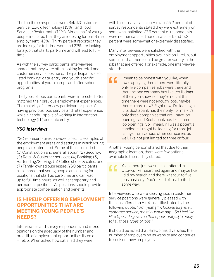The top three responses were Retail/Customer Service (21%), Technology (15%), and Food Services/Restaurants (12%). Almost half of young people indicated that they are looking for part-time employment (43%). Thirty percent reported they are looking for full-time work and 27% are looking for a job that starts part-time and will lead to fulltime.

As with the survey participants, interviewees shared that they were often looking for retail and customer service positions. The participants also listed banking, data-entry, and youth-specific opportunities at youth camps and after-school programs.

The types of jobs participants were interested often matched their previous employment experiences. The majority of interview participants spoke of having previous food service and retail experience, while a handful spoke of working in information technology (IT) and data entry.

### *YSO Interviews*

YSO representatives provided specific examples of the employment areas and settings in which young people are interested. Some of these included: (1) Construction and general labour; (2) Security; (3) Retail & Customer services; (4) Banking; (5) Bartending/Serving; (6) Coffee shops & cafes; and (7) Family-owned businesses. YSO participants also shared that young people are looking for positions that start as part-time and can lead up to full-time hours, as well as temporary and permanent positions. All positions should provide appropriate compensation and benefits.

### **IS HIREUP OFFERING EMPLOYMENT OPPORTUNITIES THAT ARE MEETING YOUNG PEOPLE'S NEEDS?**

Interviewees and survey respondents had mixed opinions on the adequacy of the number and breadth of employment opportunities listed on HireUp. When asked how satisfied they were

with the jobs available on HireUp, 55.2 percent of survey respondents stated they were extremely or somewhat satisfied, 27.6 percent of respondents were neither satisfied nor dissatisfied, and 17.2 percent were somewhat or extremely dissatisfied.

Many interviewees were satisfied with the employment opportunities available on HireUp, but some felt that there could be greater variety in the jobs that are offered. For example, one interviewee stated:

I mean to be honest with you like, when  $\epsilon$ I was applying there, there were literally only five companies' jobs were there and then the one company has like ten listings of their you know, so they're not, at that time there were not enough jobs, maybe there's more now? Right now, I'm looking at it its Scotiabank has their only, for me - it's only three companies that are - have job openings and Scotiabank has like fifteen job openings. So, I mean, if I was a potential candidate, I might be looking for more job listings from various other companies as well, like not just limited to three or four.

Another young person shared that due to their geographic location, there were few options available to them. They stated:

Yeah, there just wasn't a lot offered in " Ottawa, like I searched again and maybe like I did my search and there was four to five jobs basically...You're kind of just limited in some way.

Interviewees who were seeking jobs in customer service positions were generally pleased with the jobs offered on HireUp, as illustrated by the following quote, *"Um, yeah [I'm looking for] retail, customer service, mostly I would say… So I feel like Hire Up kinda gave me that opportunity…[to apply to] all those types of jobs."*

It should be noted that HireUp has diversified the number of employers on its website and continues to seek out new employers.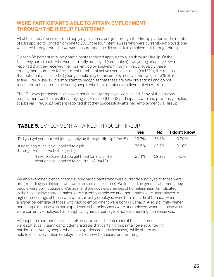### **WERE PARTICIPANTS ABLE TO ATTAIN EMPLOYMENT THROUGH THE HIREUP PLATFORM?**

All of the interviewees reported applying to at least one job through the HireUp platform. The number of jobs applied to ranged from one to 20. Of the four interviewees who were currently employed, one was hired through HireUp, two were unsure, and one did not attain employment through HireUp.

Close to 88 percent of survey participants reported applying to a job through HireUp. Of the 15 survey participants who were currently employed (see Table 5), two young people (13.3%) reported that they received their current job by applying through HireUp. To apply these employment numbers to the current number of active users on HireUp (n=1372), this means that potentially close to 180 young people may obtain employment via HireUp (i.e., 13% of all active HireUp users). It is important to recognize that these are only projections and do not reflect the actual number of young people who have obtained employment via HireUp.

The 17 survey participants who were not currently employed were asked if any of their previous employment was the result of applying via HireUp. Of the 13 participants who had previously applied to jobs via HireUp, 23 percent reported that they successfully attained employment via HireUp.

### **TABLE 5.** EMPLOYMENT ATTAINED THROUGH HIREUP

|                                                                                                 | <b>Yes</b> | Nο    | don't know |
|-------------------------------------------------------------------------------------------------|------------|-------|------------|
| Did you get your current job by applying through HireUp? (n=15)                                 | 13.3%      | 86.7% | 0.00%      |
| If no to above, have you applied to a job<br>through HireUp's website? (n=17)                   | 76.5%      | 23.5% | N NUX      |
| If yes to above, did you get hired for any of the<br>positions you applied to on HireUp? (n=13) | 231%       | 692%  | 77%        |

We also examined trends among survey participants who were currently employed to those were not (excluding participants who were on social assistance). We focused on gender, whether young people were born outside of Canada, and previous experiences of homelessness. As indicated in the table below, more females were currently employed and more males were unemployed. A higher percentage of those who were currently employed were born outside of Canada, whereas a higher percentage of those who had no employment were born in Canada. Also, a slightly higher percentage of those who had experience of homelessness were unemployed, whereas those who were currently employed had a slightly higher percentage of not experiencing homelessness.

Although the number of participants was too small to determine if these differences were statistically significant, it demonstrates that certain groups may be encountering barriers (i.e., young people who have experienced homelessness), while others are able to effectively obtain employment (i.e., new Canadians and women).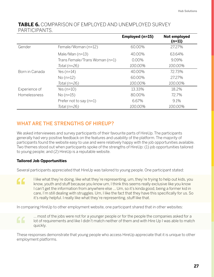### **TABLE 6.** COMPARISON OF EMPLOYED AND UNEMPLOYED SURVEY PARTICIPANTS.

|                |                                | Employed (n=15) | Not employed<br>$(n=11)$ |
|----------------|--------------------------------|-----------------|--------------------------|
| Gender         | Female/Woman (n=12)            | 60.00%          | 27.27%                   |
|                | Male/Man $(n=13)$              | 40.00%          | 63.64%                   |
|                | Trans Female/Trans Woman (n=1) | $0.00\%$        | 9.09%                    |
|                | Total $(n=26)$                 | 100.00%         | 100.00%                  |
| Born in Canada | Yes $(n=14)$                   | 40.00%          | 72.73%                   |
|                | $No(n=12)$                     | 60.00%          | 27.27%                   |
|                | Total $(n=26)$                 | 100.00%         | 100.00%                  |
| Experience of  | Yes $(n=10)$                   | 13.33%          | 18.2%                    |
| Homelessness   | $No(n=15)$                     | 80.00%          | 72.7%                    |
|                | Prefer not to say $(n=1)$      | 6.67%           | 9.1%                     |
|                | Total $(n=26)$                 | 100.00%         | 100.00%                  |

### WHAT ARE THE STRENGTHS OF HIREUP?

We asked interviewees and survey participants of their favourite parts of HireUp. The participants generally had very positive feedback on the features and usability of the platform. The majority of participants found the website easy to use and were relatively happy with the job opportunities available. Two themes stood out when participants spoke of the strengths of HireUp: (1) job opportunities tailored to young people; and (2) HireUp is a reputable website.

### **Tailored Job Opportunities**

Several participants appreciated that HireUp was tailored to young people. One participant stated:

I like what they're doing, like what they're representing, um, they're trying to help out kids, you " know, youth and stuff because you know um, I think this seems really exclusive like you know I can't get the information from anywhere else … Um, so it's kinda good, being a former kid in care, I'm still dealing with struggles. Um, I like the fact that they have this specifically for us. So it's really helpful. I really like what they're representing, stuff like that.

In comparing HireUp to other employment website, one participant shared that in other websites:

… most of the jobs were not for a younger people or for the people the companies asked for a lot of requirements and like I didn't match neither of them and with Hire Up I was able to match quickly.

These responses demonstrate that young people who access HireUp appreciate that it is unique to other employment platforms.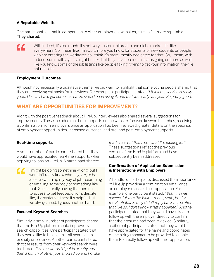### **A Reputable Website**

One participant felt that in comparison to other employment websites, HireUp felt more reputable. They shared:

With Indeed, it's too much. It's not very custom tailored to one niche market, it's like  $\epsilon$ everywhere. So I mean like, HireUp is more you know, for students or new students or people who are entering the workforce so I think it's more, mostly dedicated for that. So, I mean, with Indeed, sure I will say it's alright but like but they have too much scams going on there as well like you know, some of the job listings like people faking, trying to get your information, they're not real jobs.

### **Employment Outcomes**

Although not necessarily a qualitative theme, we did want to highlight that some young people shared that they are receiving callbacks for interviews. For example, a participant stated, *"I think the service is really good, I like it. I have got some call backs since I been using it, and that was early last year. So pretty good."*

### **WHAT ARE OPPORTUNITIES FOR IMPROVEMENT?**

Along with the positive feedback about HireUp, interviewees also shared several suggestions for improvements. These included real-time supports on the website, focused keyword searches, receiving a confirmation from employers once an application has been reviewed, greater details on the specifics of employment opportunities, increased outreach, and pre- and post-employment supports.

### **Real-time supports**

A small number of participants shared that they would have appreciated real-time supports when applying to jobs on HireUp. A participant shared:

" I might be doing something wrong, but I wouldn't really know who to go to, to be able to switch up my way of jobs searching or emailing somebody or something like that. So just really having that person to access to get feedback from, despite like, the system is there it's helpful, but we always need, I guess another hand.

### **Focused Keyword Searches**

Similarly, a small number of participants shared that the HireUp platform could improve its search capabilities. One participant stated that they would like to be able to limit searches to one city or province. Another participant stated that the results from their keyword search were too broad, *"like the words [I] put in exactly and then a bunch of other jobs showed up and I'm like*  *that's nice but that's not what I'm looking for."*  These suggestions reflect the previous version of the HireUp platform and have subsequently been addressed.

### **Confirmation of Application Submission & Interactions with Employers**

A handful of participants discussed the importance of HireUp providing a confirmation email once an employer receives their application. For example, one participant stated: *"Yeah … I was successful with the Walmart one, yeah, but for the Scotiabank, they didn't reply back to me after that like so, I don't know what happened."* Another participant stated that they would have liked to follow up with the employer directly to confirm that their resume had been reviewed. Similarly, a different participant stated that they would have appreciated for the name and coordinates of the hiring manager to be provided to enable them to directly follow up with their application.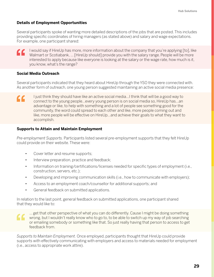### **Details of Employment Opportunities**

Several participants spoke of wanting more detailed descriptions of the jobs that are posted. This includes providing specific coordinates of hiring managers (as stated above) and salary and wage expectations. For example, one participant shared:

I would say if HireUp has more, more information about the company that you're applying [to], like CC Walmart or Scotiabank, ... [HireUp should] provide you with the salary range. People will be more interested to apply because like everyone is looking at the salary or the wage rate, how much is it, you know, what's the range?

### **Social Media Outreach**

Several participants indicated that they heard about HireUp through the YSO they were connected with. As another form of outreach, one young person suggested maintaining an active social media presence:

I just think they should have like an active social media…I think that will be a good way to  $\epsilon$ connect to the young people...every young person is on social media so, HireUp has…an advantage or like, to help with something and a lot of people see something good for the community, the word could spread to each other and like, more people coming out and like, more people will be effective on HireUp…and achieve their goals to what they want to accomplish.

### **Supports to Attain and Maintain Employment**

*Pre-employment Supports.* Participants listed several pre-employment supports that they felt HireUp could provide on their website. These were:

- Cover letter and resume supports;
- Interview preparation, practice and feedback;
- Information on training/certifications/licenses needed for specific types of employment (i.e., construction, servers, etc.);
- Developing and improving communication skills (i.e., how to communicate with employers);
- Access to an employment coach/counsellor for additional supports; and
- General feedback on submitted applications.

In relation to the last point, general feedback on submitted applications, one participant shared that they would like to:



... get that other perspective of what you can do differently. Cause I might be doing something wrong, but I wouldn't really know who to go to, to be able to switch up my way of job searching or emailing somebody or something like that. So just really having that person to access to get feedback from.

*Supports to Maintain Employment.* Once employed, participants thought that HireUp could provide supports with effectively communicating with employers and access to materials needed for employment (i.e., access to appropriate work attire).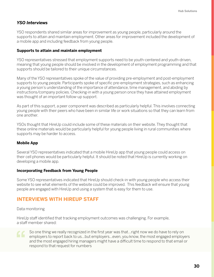### *YSO Interviews*

YSO respondents shared similar areas for improvement as young people, particularly around the supports to attain and maintain employment. Other areas for improvement included the development of a mobile app and including feedback from young people.

### **Supports to attain and maintain employment**

YSO representatives stressed that employment supports need to be youth-centered and youth-driven, meaning that young people should be involved in the development of employment programming and that supports should be tailored to their unique circumstances.

Many of the YSO representatives spoke of the value of providing pre-employment and post-employment supports to young people. Participants spoke of specific pre-employment strategies, such as enhancing a young person's understanding of the importance of attendance, time management, and abiding by instructions/company policies. Checking-in with a young person once they have attained employment was thought of an important follow-up support.

As part of this support, a peer component was described as particularly helpful. This involves connecting young people with their peers who have been in similar life or work situations so that they can learn from one another.

YSOs thought that HireUp could include some of these materials on their website. They thought that these online materials would be particularly helpful for young people living in rural communities where supports may be harder to access.

### **Mobile App**

Several YSO representatives indicated that a mobile HireUp app that young people could access on their cell phones would be particularly helpful. It should be noted that HireUp is currently working on developing a mobile app.

### **Incorporating Feedback from Young People**

Some YSO representatives indicated that HireUp should check-in with young people who access their website to see what elements of the website could be improved. This feedback will ensure that young people are engaged with HireUp and using a system that is easy for them to use.

### **INTERVIEWS WITH HIREUP STAFF**

### Data monitoring

HireUp staff identified that tracking employment outcomes was challenging. For example, a staff member shared:



So one thing we really recognized in the first year was that…right now we do have to rely on employers to report back to us…but employers…even, you know, the most engaged employers and the most engaged hiring managers might have a difficult time to respond to that email or respond to that request for numbers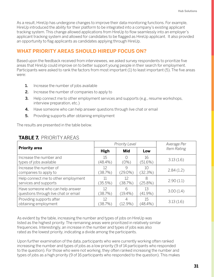As a result, HireUp has undergone changes to improve their data monitoring functions. For example, HireUp introduced the ability for their platform to be integrated into a company's existing applicant tracking system. This change allowed applications from HireUp to flow seamlessly into an employer's applicant tracking system and allowed for candidates to be flagged as HireUp applicant. It also provided an opportunity to flag applicants as candidates applying through HireUp.

### **WHAT PRIORITY AREAS SHOULD HIREUP FOCUS ON?**

Based upon the feedback received from interviewees, we asked survey respondents to prioritize five areas that HireUp could improve on to better support young people in their search for employment. Participants were asked to rank the factors from most important (1) to least important (5). The five areas were:

- **1.** Increase the number of jobs available
- 2. Increase the number of companies to apply to
- **3.** Help connect me to other employment services and supports (e.g., resume workshops, interview preparation, etc.)
- 4. Have someone who can help answer questions through live chat or email
- **5.** Providing supports after obtaining employment

The results are presented in the table below.

|                                                                          | <b>Priority Level</b> |                 | Average Per      |             |
|--------------------------------------------------------------------------|-----------------------|-----------------|------------------|-------------|
| <b>Priority area</b>                                                     | <b>High</b>           | <b>Mid</b>      | Low              | Item Rating |
| Increase the number and<br>types of jobs available                       | 15<br>(48.4%)         | $(0\%)$         | 16<br>$(51.6\%)$ | 3.13(1.6)   |
| Increase the number of<br>companies to apply to                          | 12<br>(38.7%)         | 9<br>$(29.0\%)$ | 10<br>(32.3%)    | 2.84(1.2)   |
| Help connect me to other employment<br>services and supports             | 11<br>$(35.5\%)$      | 12<br>(38.7%)   | 8<br>$(25.8\%)$  | 2.90(1.1)   |
| Have someone who can help answer<br>questions through live chat or email | 12<br>(38.7%)         | 6<br>$(19.4\%)$ | 13<br>$(41.9\%)$ | 3.00(1.4)   |
| Providing supports after<br>obtaining employment                         | 12<br>(38.7%)         | $(12.9\%)$      | 15<br>$(48.4\%)$ | 3.13(1.6)   |

### **TABLE 7.** PRIORITY AREAS

As evident by the table, increasing the number and types of jobs on HireUp was listed as the highest priority. The remaining areas were prioritized in relatively similar frequencies. Interestingly, an increase in the number and types of jobs was also rated as the lowest priority, indicating a divide among the participants.

Upon further examination of the data, participants who were currently working often ranked increasing the number and types of jobs as a low priority (9 of 14 participants who responded to the question). For those who were not working, they often ranked increasing the number and types of jobs as a high priority (9 of 16 participants who responded to the question). This makes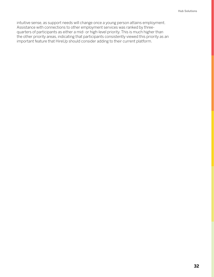intuitive sense, as support needs will change once a young person attains employment. Assistance with connections to other employment services was ranked by threequarters of participants as either a mid- or high-level priority. This is much higher than the other priority areas, indicating that participants consistently viewed this priority as an important feature that HireUp should consider adding to their current platform.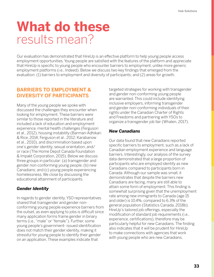### **What do these** results mean?

Our evaluation has demonstrated that HireUp is an effective platform to help young people access employment opportunities. Young people are satisfied with the features of the platform and appreciate that HireUp is specific to young people who encounter barriers to employment, unlike more generic employment platforms (i.e., Indeed). Below we discuss two key findings that emerged from the evaluation: (1) barriers to employment and diversity of participants; and (2) areas for growth.

### **BARRIERS TO EMPLOYMENT & DIVERSITY OF PARTICIPANTS**

Many of the young people we spoke with discussed the challenges they encounter when looking for employment. These barriers were similar to those reported in the literature and included a lack of education and employment experience, mental health challenges (Ferguson et al., 2012), housing instability (Barman-Adhikari & Rice, 2014; Ferguson et al., 2012; Karabanow et al., 2010), and discrimination based upon one's gender identity, sexual orientation, and/ or race (The Home Depot Canada Foundation & Impakt Corporation, 2015). Below we discuss three groups in particular: (a) transgender and gender non-conforming young people; (b) new Canadians; and (c) young people experiencing homelessness. We close by discussing the educational attainment of participants.

### *Gender Identity*

In regards to gender identity, YSO representatives shared that transgender and gender nonconforming young people experience barriers from the outset, as even applying to jobs is difficult since many application forms frame gender in binary terms (i.e., "male" or "female"). Further, some young people's government- issued identification does not match their gender identity, making it stressful for young people to identify their gender on an application. These examples indicate that

targeted strategies for working with transgender and gender non-conforming young people are warranted. This could include identifying inclusive employers, informing transgender and gender non-conforming individuals of their rights under the Canadian Charter of Rights and Freedoms and partnering with YSOs to organize a transgender job fair (Whalen, 2017).

### *New Canadians*

Our data found that new Canadians reported specific barriers to employment, such as a lack of Canadian employment experience and language barriers. Interestingly, our analysis of the survey data demonstrated that a large proportion of participants who are employed identify as new Canadians compared to participants born in Canada. Although our sample was small, it demonstrates that despite the barriers new Canadians are facing, many are still able to attain some form of employment. This finding is somewhat surprising given that the unemployment rate among new immigrants to Canada (age 15 and older) is 10.4%, compared to 6.3% of the general population (Statistics Canada, 2018b). HireUp's tailored job offerings, especially the modification of standard job requirements (i.e., experience, certifications), therefore may be particularly helpful for new Canadians. The finding also indicates that it will be prudent for HireUp to make connections with agencies that work with young people who are new Canadians.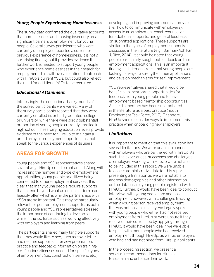### *Young People Experiencing Homelessness*

The survey data confirmed the qualitative accounts that homelessness and housing insecurity area significant barriers to employment for young people. Several survey participants who were currently unemployed reported a current or previous experience of homelessness. It is not a surprising finding, but it provides evidence that further work is needed to support young people who experience homelessness in their search for employment. This will involve continued outreach with HireUp's current YSOs, but could also reflect the need for additional YSOs to be recruited.

### *Educational Attainment*

Interestingly, the educational backgrounds of the survey participants were varied. Many of the survey participants reported that they were currently enrolled in, or had graduated, college or university, while there were also a substantial proportion of young people currently enrolled in high school. These varying education levels provide evidence of the need for HireUp to maintain a broad array of employment opportunities that speak to the various experiences of its users.

### **AREAS FOR GROWTH**

Young people and YSO representatives shared several ways HireUp could be enhanced. Along with increasing the number and type of employment opportunities, young people prioritized being connected to other employment services. It is clear that many young people require supports that extend beyond what an online platform can feasibly offer, which is why the partnerships with YSOs are so important. This may be particularly relevant for post-employment supports, as both young people and YSO representatives stressed the importance of continuing to develop skills while in the job force, such as working effectively with employers and learning from peers.

The participants shared many tangible supports that they would like to see, such as cover letter and resume supports; interview preparation, practice and feedback; information on training/ certifications/licenses needed for specific types of employment (i.e., construction, servers, etc.);

developing and improving communication skills (i.e., how to communicate with employers); access to an employment coach/counsellor for additional supports; and general feedback on submitted applications. These supports are similar to the types of employment supports discussed in the literature (e.g., Barman-Adhikari & Rice, 2014). It should be noted that young people particularly sought out feedback on their employment applications. This is an important finding, as it demonstrates that young people are looking for ways to strengthen their applications and develop mechanisms for self-improvement.

YSO representatives shared that it would be beneficial to incorporate opportunities for feedback from young people and to have employment-based mentorship opportunities. Access to mentors has been substantiated in the literature as a best practice (Youth Employment Task Force, 2017). Therefore, HireUp should consider ways to implement this practice when onboarding new employers.

### *Limitations*

It is important to mention that this evaluation has several limitations. We were unable to connect with employers who are partnered with HireUp. As such, the experiences, successes and challenges of employers working with HireUp were not able to be included in this report. We were unable to access administrative data for this report, presenting a limitation as we were not able to address demographics and other information on the database of young people registered with HireUp. Further, it would have been ideal to conduct interviews with young people pre and postemployment; however, with challenges tracking when a young person received employment, this was not possible. Lastly, we largely spoke with young people who either had not received employment from HireUp or were unsure if they received their current job by applying through HireUp. It would have been ideal if we were able to speak with more people who had received employment through HireUp, as well as employers who had and had not hired from HireUp applicants.

In the proceeding section, we present a series of recommendations for HireUp to sustain and enhance their work.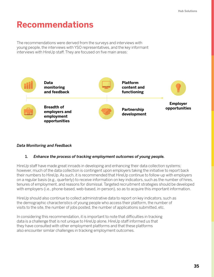### **Recommendations**

The recommendations were derived from the surveys and interviews with young people, the interviews with YSO representatives, and the key informant interviews with HireUp staff. They are focused on five main areas:



### *Data Monitoring and Feedback*

### 1. *Enhance the process of tracking employment outcomes of young people.*

HireUp staff have made great inroads in developing and enhancing their data collection systems; however, much of the data collection is contingent upon employers taking the initiative to report back their numbers to HireUp. As such, it is recommended that HireUp continue to follow-up with employers on a regular basis (e.g., quarterly) to receive information on key indicators, such as the number of hires, tenures of employment, and reasons for dismissal. Targeted recruitment strategies should be developed with employers (i.e., phone-based, web-based, in-person), so as to acquire this important information.

HireUp should also continue to collect administrative data to report on key indicators, such as the demographic characteristics of young people who access their platform, the number of visits to the site, the number of jobs posted, the number of applications submitted, etc.

In considering this recommendation, it is important to note that difficulties in tracking data is a challenge that is not unique to HireUp alone. HireUp staff informed us that they have consulted with other employment platforms and that these platforms also encounter similar challenges in tracking employment outcomes.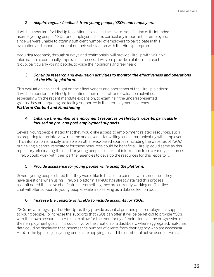### 2. *Acquire regular feedback from young people, YSOs, and employers.*

It will be important for HireUp to continue to assess the level of satisfaction of its intended users – young people, YSOs, and employers. This is particularly important for employers, since we were unable to attain a sufficient number of employers to participate in this evaluation and cannot comment on their satisfaction with the HireUp program.

Acquiring feedback, through surveys and testimonials, will provide HireUp with valuable information to continually improve its process. It will also provide a platform for each group, particularly young people, to voice their opinions and feel heard.

### 3. *Continue research and evaluation activities to monitor the effectiveness and operations of the HireUp platform.*

This evaluation has shed light on the effectiveness and operations of the HireUp platform. It will be important for HireUp to continue their research and evaluation activities, especially with the recent mandate expansion, to examine if the underrepresented groups they are targeting are feeling supported in their employment searches. *Platform Content and Functioning*

### 4. *Enhance the number of employment resources on HireUp's website, particularly focused on pre- and post-employment supports.*

Several young people stated that they would like access to employment-related resources, such as preparing for an interview, resume and cover letter writing, and communicating with employers. This information is readily available on other web-based sources (including the websites of YSOs) but having a central repository for these resources could be beneficial. HireUp could serve as this repository, eliminating the need for young people to seek out information from a variety of sources. HireUp could work with their partner agencies to develop the resources for this repository.

### 5. *Provide assistance for young people while using the platform.*

Several young people stated that they would like to be able to connect with someone if they have questions when using HireUp's platform. HireUp has already started this process, as staff noted that a live chat feature is something they are currently working on. This live chat will offer support to young people, while also serving as a data collection tool.

### 6. *Increase the capacity of HireUp to include accounts for YSOs.*

YSOs are an integral part of HireUp, as they provide essential pre- and post-employment supports to young people. To increase the supports that YSOs can offer, it will be beneficial to provide YSOs with their own accounts on HireUp to allow for the monitoring of their clients in the progression of their employment goals. This could involve the creation of a dashboard where aggregated, real-time data could be displayed that indicates the number of clients from their agency who are accessing HireUp, the types of jobs young people are applying to, and the number of active users of HireUp.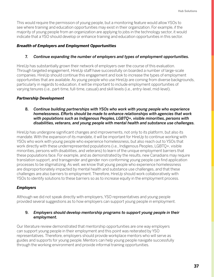This would require the permission of young people, but a monitoring feature would allow YSOs to see where training and education opportunities may exist in their organization. For example, if the majority of young people from an organization are applying to jobs in the technology sector, it would indicate that a YSO should develop or enhance training and education opportunities in this sector.

### *Breadth of Employers and Employment Opportunities*

### 7. *Continue expanding the number of employers and types of employment opportunities.*

HireUp has substantially grown their network of employers over the course of this evaluation. Through targeted engagement, HireUp staff have successfully on boarded a number of large-scale companies. HireUp should continue this engagement and look to increase the types of employment opportunities that are available. As young people who use HireUp are coming from diverse backgrounds, particularly in regards to education, it will be important to include employment opportunities of varying tenures (i.e., part-time, full-time, casual) and skill levels (i.e., entry-level, mid-level).

### *Partnership Development*

### 8. *Continue building partnerships with YSOs who work with young people who experience homelessness. Efforts should be made to enhance relationships with agencies that work with populations such as Indigenous Peoples, LGBTQ+, visible minorities, persons with disabilities, veterans, and young people with mental health and substance use challenges.*

HireUp has undergone significant changes and improvements, not only to its platform, but also its mandate. With the expansion of its mandate, it will be important for HireUp to continue working with YSOs who work with young people who experience homelessness, but also reach out to YSOs that work directly with these underrepresented populations (i.e., Indigenous Peoples, LGBTQ+, visible minorities, persons with disabilities, and veterans) to learn of the unique employment barriers that these populations face. For example, and as demonstrated by the results, new Canadians may require translation support, and transgender and gender non-conforming young people can find application processes to be stigmatizing. As well, we know that young people who experience homelessness are disproportionately impacted by mental health and substance use challenges, and that these challenges are also barriers to employment. Therefore, HireUp should work collaboratively with YSOs to identify solutions to these barriers so as to increase equity in the employment process.

### *Employers*

Although we did not speak directly with employers, YSO representatives and young people provided several suggestions as to how employers can support young people in employment.

### 9. *Employers should develop mentorship programs to support young people in their employment.*

Our literature review demonstrated that mentorship opportunities are one way employers can support young people in their employment and this point was reiterated by YSO representatives. Therefore, employers should provide workplace mentors who will serve as guides and supports for young people. Mentors can help young people navigate successfully through the working environment and provide informal training opportunities.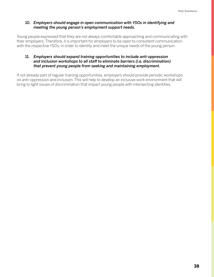### 10. *Employers should engage in open communication with YSOs in identifying and meeting the young person's employment support needs.*

Young people expressed that they are not always comfortable approaching and communicating with their employers. Therefore, it is important for employers to be open to consistent communication with the respective YSOs, in order to identify and meet the unique needs of the young person.

### 11. *Employers should expand training opportunities to include anti-oppression and inclusion workshops to all staff to eliminate barriers (i.e. discrimination) that prevent young people from seeking and maintaining employment.*

If not already part of regular training opportunities, employers should provide periodic workshops on anti-oppression and inclusion. This will help to develop an inclusive work environment that will bring to light issues of discrimination that impact young people with intersecting identities.